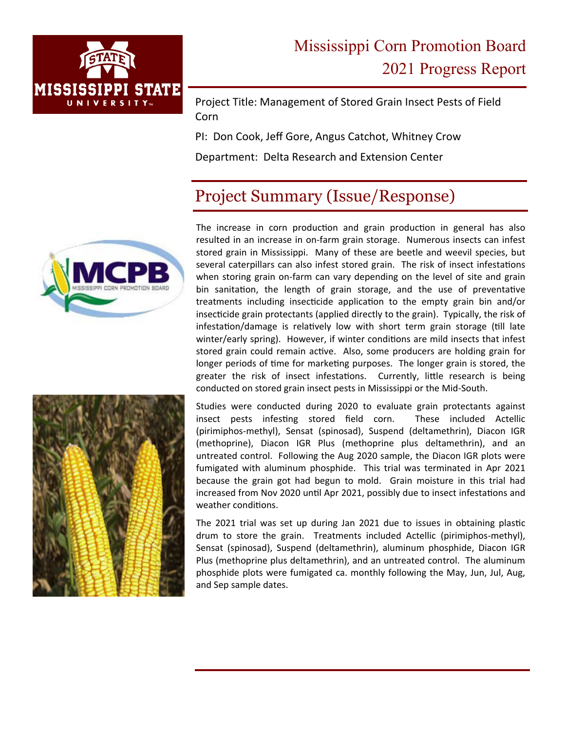

Project Title: Management of Stored Grain Insect Pests of Field Corn

PI: Don Cook, Jeff Gore, Angus Catchot, Whitney Crow

Department: Delta Research and Extension Center

## Project Summary (Issue/Response)





The increase in corn production and grain production in general has also resulted in an increase in on‐farm grain storage. Numerous insects can infest stored grain in Mississippi. Many of these are beetle and weevil species, but several caterpillars can also infest stored grain. The risk of insect infestations when storing grain on-farm can vary depending on the level of site and grain bin sanitation, the length of grain storage, and the use of preventative treatments including insecticide application to the empty grain bin and/or insecticide grain protectants (applied directly to the grain). Typically, the risk of infestation/damage is relatively low with short term grain storage (till late winter/early spring). However, if winter conditions are mild insects that infest stored grain could remain active. Also, some producers are holding grain for longer periods of time for marketing purposes. The longer grain is stored, the greater the risk of insect infestations. Currently, little research is being conducted on stored grain insect pests in Mississippi or the Mid‐South.

Studies were conducted during 2020 to evaluate grain protectants against insect pests infesting stored field corn. These included Actellic (pirimiphos‐methyl), Sensat (spinosad), Suspend (deltamethrin), Diacon IGR (methoprine), Diacon IGR Plus (methoprine plus deltamethrin), and an untreated control. Following the Aug 2020 sample, the Diacon IGR plots were fumigated with aluminum phosphide. This trial was terminated in Apr 2021 because the grain got had begun to mold. Grain moisture in this trial had increased from Nov 2020 until Apr 2021, possibly due to insect infestations and weather conditions.

The 2021 trial was set up during Jan 2021 due to issues in obtaining plastic drum to store the grain. Treatments included Actellic (pirimiphos-methyl), Sensat (spinosad), Suspend (deltamethrin), aluminum phosphide, Diacon IGR Plus (methoprine plus deltamethrin), and an untreated control. The aluminum phosphide plots were fumigated ca. monthly following the May, Jun, Jul, Aug, and Sep sample dates.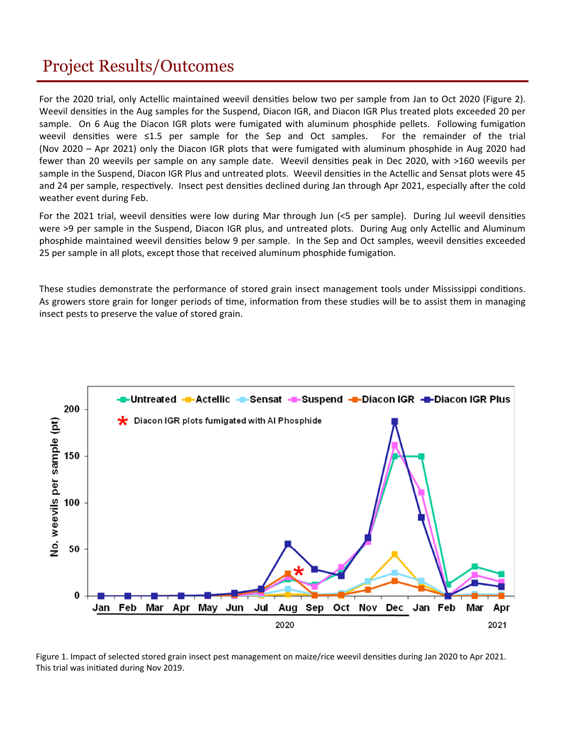## Project Results/Outcomes

For the 2020 trial, only Actellic maintained weevil densities below two per sample from Jan to Oct 2020 (Figure 2). Weevil densities in the Aug samples for the Suspend, Diacon IGR, and Diacon IGR Plus treated plots exceeded 20 per sample. On 6 Aug the Diacon IGR plots were fumigated with aluminum phosphide pellets. Following fumigation weevil densities were ≤1.5 per sample for the Sep and Oct samples. For the remainder of the trial (Nov 2020 – Apr 2021) only the Diacon IGR plots that were fumigated with aluminum phosphide in Aug 2020 had fewer than 20 weevils per sample on any sample date. Weevil densities peak in Dec 2020, with >160 weevils per sample in the Suspend, Diacon IGR Plus and untreated plots. Weevil densities in the Actellic and Sensat plots were 45 and 24 per sample, respectively. Insect pest densities declined during Jan through Apr 2021, especially after the cold weather event during Feb.

For the 2021 trial, weevil densities were low during Mar through Jun (<5 per sample). During Jul weevil densities were >9 per sample in the Suspend, Diacon IGR plus, and untreated plots. During Aug only Actellic and Aluminum phosphide maintained weevil densities below 9 per sample. In the Sep and Oct samples, weevil densities exceeded 25 per sample in all plots, except those that received aluminum phosphide fumigation.

These studies demonstrate the performance of stored grain insect management tools under Mississippi conditions. As growers store grain for longer periods of time, information from these studies will be to assist them in managing insect pests to preserve the value of stored grain.



Figure 1. Impact of selected stored grain insect pest management on maize/rice weevil densities during Jan 2020 to Apr 2021. This trial was initiated during Nov 2019.